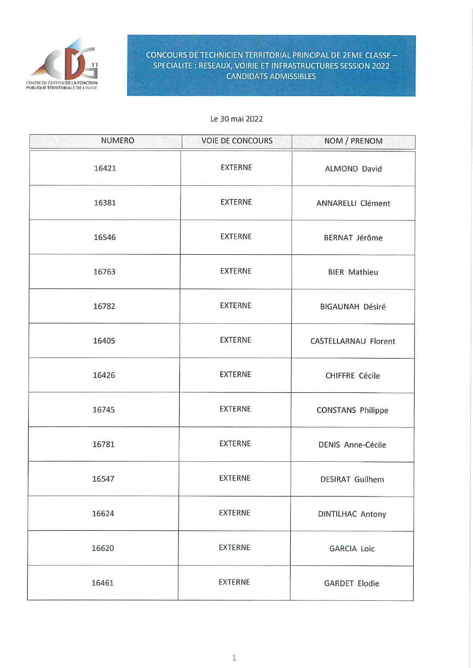

## **CONCOURS DE TECHNICIEN TERRITORIAL PRINCIPAL DE 2EME CLASSE -**SPECIALITE : RESEAUX, VOIRIE ET INFRASTRUCTURES SESSION 2022 **CANDIDATS ADMISSIBLES**

### Le 30 mai 2022

| <b>NUMERO</b> | <b>VOIE DE CONCOURS</b> | NOM / PRENOM             |
|---------------|-------------------------|--------------------------|
| 16421         | <b>EXTERNE</b>          | <b>ALMOND David</b>      |
| 16381         | <b>EXTERNE</b>          | ANNARELLI Clément        |
| 16546         | EXTERNE                 | <b>BERNAT Jérôme</b>     |
| 16763         | <b>EXTERNE</b>          | <b>BIER Mathieu</b>      |
| 16782         | <b>EXTERNE</b>          | <b>BIGAUNAH Désiré</b>   |
| 16405         | <b>EXTERNE</b>          | CASTELLARNAU Florent     |
| 16426         | <b>EXTERNE</b>          | CHIFFRE Cécile           |
| 16745         | <b>EXTERNE</b>          | <b>CONSTANS Philippe</b> |
| 16781         | <b>EXTERNE</b>          | <b>DENIS Anne-Cécile</b> |
| 16547         | <b>EXTERNE</b>          | <b>DESIRAT Guilhem</b>   |
| 16624         | EXTERNE                 | <b>DINTILHAC Antony</b>  |
| 16620         | <b>EXTERNE</b>          | <b>GARCIA Loïc</b>       |
| 16461         | <b>EXTERNE</b>          | <b>GARDET Elodie</b>     |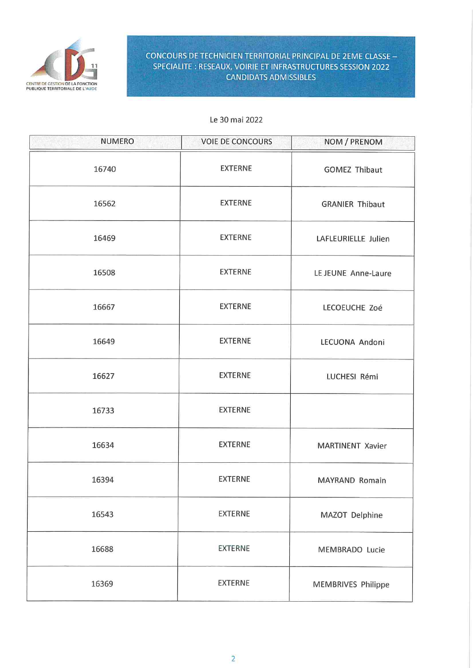

# **CONCOURS DE TECHNICIEN TERRITORIAL PRINCIPAL DE 2EME CLASSE -**SPECIALITE : RESEAUX, VOIRIE ET INFRASTRUCTURES SESSION 2022 **CANDIDATS ADMISSIBLES**

### Le 30 mai 2022

| <b>NUMERO</b> | <b>VOIE DE CONCOURS</b> | NOM / PRENOM              |
|---------------|-------------------------|---------------------------|
| 16740         | <b>EXTERNE</b>          | <b>GOMEZ Thibaut</b>      |
| 16562         | <b>EXTERNE</b>          | <b>GRANIER Thibaut</b>    |
| 16469         | <b>EXTERNE</b>          | LAFLEURIELLE Julien       |
| 16508         | <b>EXTERNE</b>          | LE JEUNE Anne-Laure       |
| 16667         | <b>EXTERNE</b>          | LECOEUCHE Zoé             |
| 16649         | <b>EXTERNE</b>          | LECUONA Andoni            |
| 16627         | <b>EXTERNE</b>          | LUCHESI Rémi              |
| 16733         | <b>EXTERNE</b>          |                           |
| 16634         | <b>EXTERNE</b>          | <b>MARTINENT Xavier</b>   |
| 16394         | <b>EXTERNE</b>          | MAYRAND Romain            |
| 16543         | <b>EXTERNE</b>          | MAZOT Delphine            |
| 16688         | <b>EXTERNE</b>          | <b>MEMBRADO Lucie</b>     |
| 16369         | <b>EXTERNE</b>          | <b>MEMBRIVES Philippe</b> |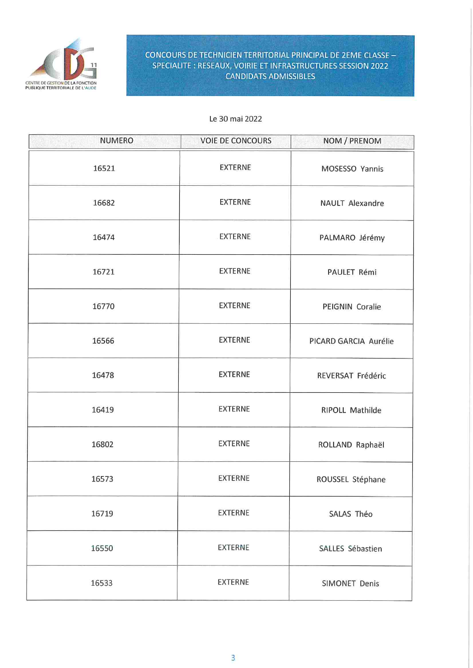

## **CONCOURS DE TECHNICIEN TERRITORIAL PRINCIPAL DE 2EME CLASSE -**SPECIALITE: RESEAUX, VOIRIE ET INFRASTRUCTURES SESSION 2022 **CANDIDATS ADMISSIBLES**

#### Le 30 mai 2022

| <b>NUMERO</b> | <b>VOIE DE CONCOURS</b> | NOM / PRENOM          |
|---------------|-------------------------|-----------------------|
| 16521         | <b>EXTERNE</b>          | MOSESSO Yannis        |
| 16682         | <b>EXTERNE</b>          | NAULT Alexandre       |
| 16474         | <b>EXTERNE</b>          | PALMARO Jérémy        |
| 16721         | <b>EXTERNE</b>          | PAULET Rémi           |
| 16770         | <b>EXTERNE</b>          | PEIGNIN Coralie       |
| 16566         | <b>EXTERNE</b>          | PICARD GARCIA Aurélie |
| 16478         | <b>EXTERNE</b>          | REVERSAT Frédéric     |
| 16419         | <b>EXTERNE</b>          | RIPOLL Mathilde       |
| 16802         | <b>EXTERNE</b>          | ROLLAND Raphaël       |
| 16573         | <b>EXTERNE</b>          | ROUSSEL Stéphane      |
| 16719         | <b>EXTERNE</b>          | SALAS Théo            |
| 16550         | <b>EXTERNE</b>          | SALLES Sébastien      |
| 16533         | EXTERNE                 | SIMONET Denis         |